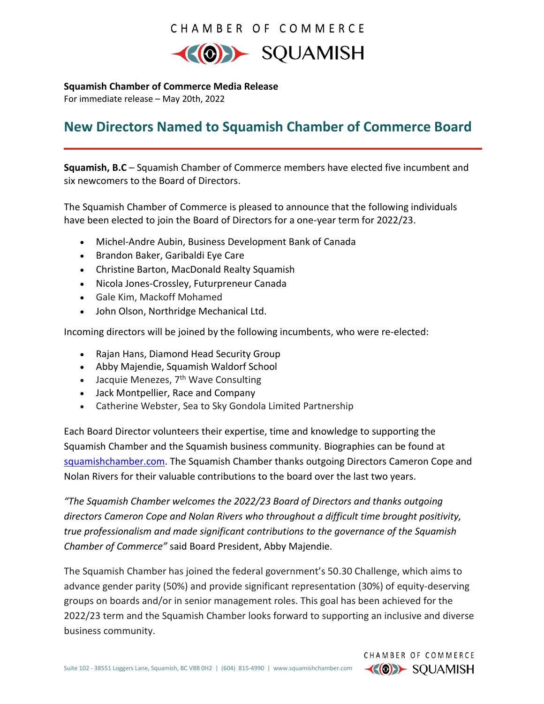## CHAMBER OF COMMERCE



**Squamish Chamber of Commerce Media Release**

For immediate release – May 20th, 2022

# **New Directors Named to Squamish Chamber of Commerce Board**

**Squamish, B.C** – Squamish Chamber of Commerce members have elected five incumbent and six newcomers to the Board of Directors.

The Squamish Chamber of Commerce is pleased to announce that the following individuals have been elected to join the Board of Directors for a one-year term for 2022/23.

- Michel-Andre Aubin, Business Development Bank of Canada
- Brandon Baker, Garibaldi Eye Care
- Christine Barton, MacDonald Realty Squamish
- Nicola Jones-Crossley, Futurpreneur Canada
- Gale Kim, Mackoff Mohamed
- John Olson, Northridge Mechanical Ltd.

Incoming directors will be joined by the following incumbents, who were re-elected:

- Rajan Hans, Diamond Head Security Group
- Abby Majendie, Squamish Waldorf School
- Jacquie Menezes,  $7<sup>th</sup>$  Wave Consulting
- Jack Montpellier, Race and Company
- Catherine Webster, Sea to Sky Gondola Limited Partnership

Each Board Director volunteers their expertise, time and knowledge to supporting the Squamish Chamber and the Squamish business community. Biographies can be found at [squamishchamber.com.](https://www.squamishchamber.com/about-us/board-of-directors-2/) The Squamish Chamber thanks outgoing Directors Cameron Cope and Nolan Rivers for their valuable contributions to the board over the last two years.

*"The Squamish Chamber welcomes the 2022/23 Board of Directors and thanks outgoing directors Cameron Cope and Nolan Rivers who throughout a difficult time brought positivity, true professionalism and made significant contributions to the governance of the Squamish Chamber of Commerce"* said Board President, Abby Majendie.

The Squamish Chamber has joined the federal government's 50.30 Challenge, which aims to advance gender parity (50%) and provide significant representation (30%) of equity-deserving groups on boards and/or in senior management roles. This goal has been achieved for the 2022/23 term and the Squamish Chamber looks forward to supporting an inclusive and diverse business community.

> CHAMBER OF COMMERCE  $\left\langle \left\langle 0\right\rangle \right\rangle$  SQUAMISH